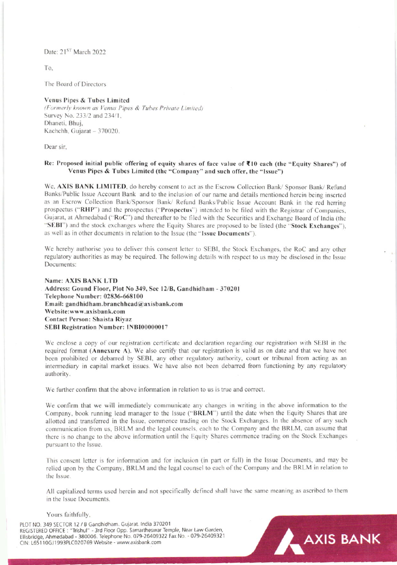Date: 21<sup>ST</sup> March 2022

To.

The Board of Directors

### Venus Pipes & Tubes Limited

(Formerly known as Venus Pipes & Tubes Private Limited) Survey No. 233/2 and 234/1, Dhaneti, Bhuj, Kachchh, Gujarat - 370020.

Dear sir.

### Re: Proposed initial public offering of equity shares of face value of ₹10 each (the "Equity Shares") of Venus Pipes & Tubes Limited (the "Company" and such offer, the "Issue")

We, AXIS BANK LIMITED, do hereby consent to act as the Escrow Collection Bank/ Sponsor Bank/ Refund Banks/Public Issue Account Bank and to the inclusion of our name and details mentioned herein being inserted as an Escrow Collection Bank/Sponsor Bank/ Refund Banks/Public Issue Account Bank in the red herring prospectus ("RHP") and the prospectus ("Prospectus") intended to be filed with the Registrar of Companies, Guiarat, at Ahmedabad ("RoC") and thereafter to be filed with the Securities and Exchange Board of India (the "SEBI") and the stock exchanges where the Equity Shares are proposed to be listed (the "Stock Exchanges"). as well as in other documents in relation to the Issue (the "Issue Documents").

We hereby authorise you to deliver this consent letter to SEBI, the Stock Exchanges, the RoC and any other regulatory authorities as may be required. The following details with respect to us may be disclosed in the Issue Documents:

### **Name: AXIS BANK LTD** Address: Gound Floor, Plot No 349, Sec 12/B, Gandhidham - 370201 Telephone Number: 02836-668100 Email: gandhidham.branchhead@axisbank.com Website:www.axisbank.com Contact Person: Shaista Riyaz SEBI Registration Number: INBI00000017

We enclose a copy of our registration certificate and declaration regarding our registration with SEBI in the required format (Annexure A). We also certify that our registration is valid as on date and that we have not been prohibited or debarred by SEBI, any other regulatory authority, court or tribunal from acting as an intermediary in capital market issues. We have also not been debarred from functioning by any regulatory authority.

We further confirm that the above information in relation to us is true and correct.

We confirm that we will immediately communicate any changes in writing in the above information to the Company, book running lead manager to the Issue ("BRLM") until the date when the Equity Shares that are allotted and transferred in the Issue, commence trading on the Stock Exchanges. In the absence of any such communication from us, BRLM and the legal counsels, each to the Company and the BRLM, can assume that there is no change to the above information until the Equity Shares commence trading on the Stock Exchanges pursuant to the Issue.

This consent letter is for information and for inclusion (in part or full) in the Issue Documents, and may be relied upon by the Company, BRLM and the legal counsel to each of the Company and the BRLM in relation to the Issue.

All capitalized terms used herein and not specifically defined shall have the same meaning as ascribed to them in the Issue Documents.

AXIS BANK

#### Yours faithfully,

PLOT NO. 349 SECTOR 12 / B Gandhidham. Gujarat. India 370201 REGISTERED OFFICE: "Trishul" - 3rd Floor Opp. Samartheswar Temple, Near Law Garden, Ellisbridge, Ahmedabad - 380006. Telephone No. 079-26409322 Fax No. - 079-26409321 CIN: L65110GJ1993PLC020769 Website - www.axisbank.com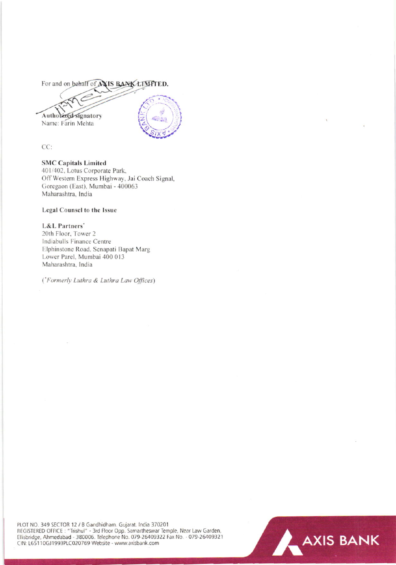For and on behalf of AXIS BANK LIMPTED.

Authorized signatory Name: Farin Mehta

CC:

# **SMC Capitals Limited**

401/402, Lotus Corporate Park, Off Western Express Highway, Jai Coach Signal, Goregaon (East), Mumbai - 400063 Maharashtra, India

### Legal Counsel to the Issue

### L&L Partners'

20th Floor, Tower 2 Indiabulls Finance Centre Elphinstone Road, Senapati Bapat Marg Lower Parel, Mumbai 400 013 Maharashtra, India

('Formerly Luthra & Luthra Law Offices)

PLOT NO. 349 SECTOR 12 / B Gandhidham. Gujarat. India 370201<br>REGISTERED OFFICE : "Trishul" - 3rd Floor Opp. Samartheswar Temple, Near Law Garden, Ellisbridge, Ahmedabad - 380006. Telephone No. 079-26409322 Fax No. - 079-26409321 CIN: L65110GJ1993PLC020769 Website - www.axisbank.com

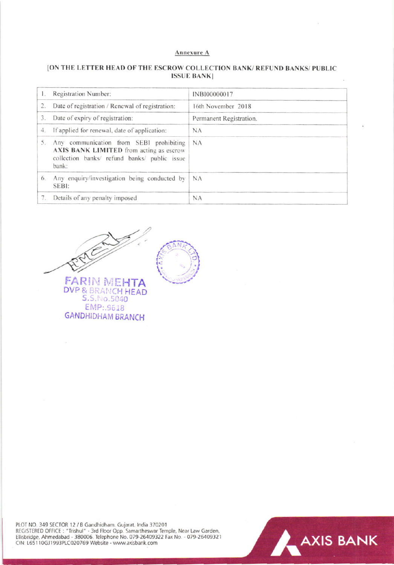#### Annexure A

## [ON THE LETTER HEAD OF THE ESCROW COLLECTION BANK/ REFUND BANKS/ PUBLIC **ISSUE BANK**]

|    | Registration Number:                                                                                                                        | INB100000017            |
|----|---------------------------------------------------------------------------------------------------------------------------------------------|-------------------------|
| 2. | Date of registration / Renewal of registration:                                                                                             | 16th November 2018      |
| 3. | Date of expiry of registration:                                                                                                             | Permanent Registration. |
|    | 4. If applied for renewal, date of application:                                                                                             | <b>NA</b>               |
| 5. | Any communication from SEBI prohibiting<br>AXIS BANK LIMITED from acting as escrow<br>collection banks/ refund banks/ public issue<br>bank: | NA                      |
| 6. | Any enquiry/investigation being conducted by<br>SEBI:                                                                                       | $\mathsf{NA}$           |
| 7. | Details of any penalty imposed                                                                                                              | <b>NA</b>               |



PLOT NO. 349 SECTOR 12 / B Gandhidham. Gujarat. India 370201<br>REGISTERED OFFICE : "Trishul" - 3rd Floor Opp. Samartheswar Temple, Near Law Garden,<br>Ellisbridge, Ahmedabad - 380006. Telephone No. 079-26409322 Fax No. - 079-26 CIN: L65110GJ1993PLC020769 Website - www.axisbank.com